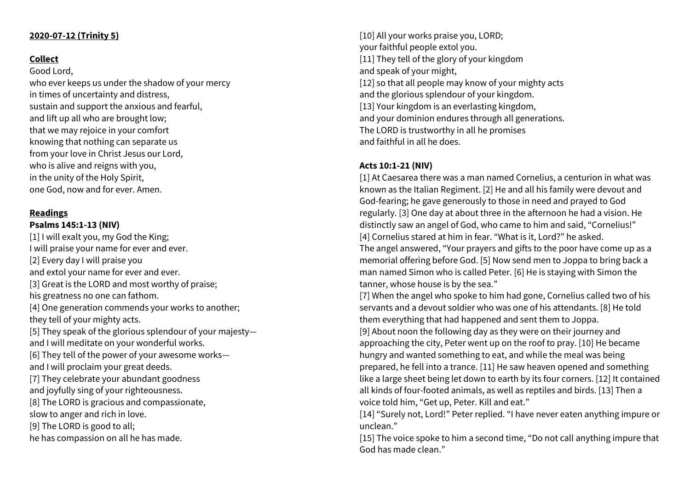## **2020-07-12 (Trinity 5)**

## **Collect**

Good Lord, who ever keeps us under the shadow of your mercy in times of uncertainty and distress, sustain and support the anxious and fearful, and lift up all who are brought low; that we may rejoice in your comfort knowing that nothing can separate us from your love in Christ Jesus our Lord, who is alive and reigns with you, in the unity of the Holy Spirit, one God, now and for ever. Amen.

# **Readings**

# **Psalms 145:1-13 (NIV)**

[1] I will exalt you, my God the King; I will praise your name for ever and ever. [2] Every day I will praise you and extol your name for ever and ever. [3] Great is the LORD and most worthy of praise; his greatness no one can fathom. [4] One generation commends your works to another; they tell of your mighty acts. [5] They speak of the glorious splendour of your majesty and I will meditate on your wonderful works. [6] They tell of the power of your awesome works and I will proclaim your great deeds. [7] They celebrate your abundant goodness and joyfully sing of your righteousness. [8] The LORD is gracious and compassionate, slow to anger and rich in love. [9] The LORD is good to all; he has compassion on all he has made.

[10] All your works praise you, LORD; your faithful people extol you. [11] They tell of the glory of your kingdom and speak of your might, [12] so that all people may know of your mighty acts and the glorious splendour of your kingdom. [13] Your kingdom is an everlasting kingdom, and your dominion endures through all generations. The LORD is trustworthy in all he promises and faithful in all he does.

#### **Acts 10:1-21 (NIV)**

[1] At Caesarea there was a man named Cornelius, a centurion in what was known as the Italian Regiment. [2] He and all his family were devout and God-fearing; he gave generously to those in need and prayed to God regularly. [3] One day at about three in the afternoon he had a vision. He distinctly saw an angel of God, who came to him and said, "Cornelius!" [4] Cornelius stared at him in fear. "What is it, Lord?" he asked. The angel answered, "Your prayers and gifts to the poor have come up as a memorial offering before God. [5] Now send men to Joppa to bring back a man named Simon who is called Peter. [6] He is staying with Simon the tanner, whose house is by the sea."

[7] When the angel who spoke to him had gone, Cornelius called two of his servants and a devout soldier who was one of his attendants. [8] He told them everything that had happened and sent them to Joppa.

[9] About noon the following day as they were on their journey and approaching the city, Peter went up on the roof to pray. [10] He became hungry and wanted something to eat, and while the meal was being prepared, he fell into a trance. [11] He saw heaven opened and something like a large sheet being let down to earth by its four corners. [12] It contained all kinds of four-footed animals, as well as reptiles and birds. [13] Then a voice told him, "Get up, Peter. Kill and eat."

[14] "Surely not, Lord!" Peter replied. "I have never eaten anything impure or unclean."

[15] The voice spoke to him a second time, "Do not call anything impure that God has made clean."